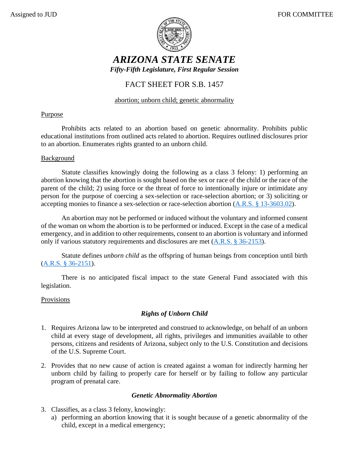

# *ARIZONA STATE SENATE Fifty-Fifth Legislature, First Regular Session*

# FACT SHEET FOR S.B. 1457

## abortion; unborn child; genetic abnormality

## Purpose

Prohibits acts related to an abortion based on genetic abnormality. Prohibits public educational institutions from outlined acts related to abortion. Requires outlined disclosures prior to an abortion. Enumerates rights granted to an unborn child.

### **Background**

Statute classifies knowingly doing the following as a class 3 felony: 1) performing an abortion knowing that the abortion is sought based on the sex or race of the child or the race of the parent of the child; 2) using force or the threat of force to intentionally injure or intimidate any person for the purpose of coercing a sex-selection or race-selection abortion; or 3) soliciting or accepting monies to finance a sex-selection or race-selection abortion [\(A.R.S. § 13-3603.02\)](https://www.azleg.gov/viewdocument/?docName=https://www.azleg.gov/ars/13/03603-02.htm).

An abortion may not be performed or induced without the voluntary and informed consent of the woman on whom the abortion is to be performed or induced. Except in the case of a medical emergency, and in addition to other requirements, consent to an abortion is voluntary and informed only if various statutory requirements and disclosures are met [\(A.R.S. § 36-2153\)](https://www.azleg.gov/viewdocument/?docName=https://www.azleg.gov/ars/36/02153.htm).

Statute defines *unborn child* as the offspring of human beings from conception until birth [\(A.R.S. § 36-2151\)](https://www.azleg.gov/viewdocument/?docName=https://www.azleg.gov/ars/36/02151.htm).

There is no anticipated fiscal impact to the state General Fund associated with this legislation.

### Provisions

## *Rights of Unborn Child*

- 1. Requires Arizona law to be interpreted and construed to acknowledge, on behalf of an unborn child at every stage of development, all rights, privileges and immunities available to other persons, citizens and residents of Arizona, subject only to the U.S. Constitution and decisions of the U.S. Supreme Court.
- 2. Provides that no new cause of action is created against a woman for indirectly harming her unborn child by failing to properly care for herself or by failing to follow any particular program of prenatal care.

### *Genetic Abnormality Abortion*

- 3. Classifies, as a class 3 felony, knowingly:
	- a) performing an abortion knowing that it is sought because of a genetic abnormality of the child, except in a medical emergency;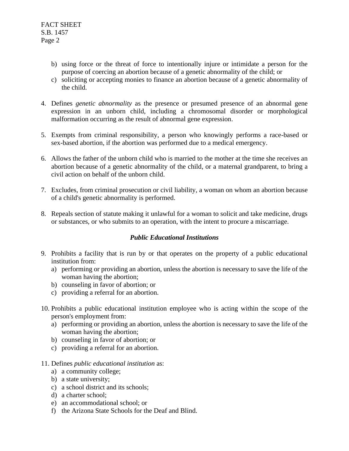- b) using force or the threat of force to intentionally injure or intimidate a person for the purpose of coercing an abortion because of a genetic abnormality of the child; or
- c) soliciting or accepting monies to finance an abortion because of a genetic abnormality of the child.
- 4. Defines *genetic abnormality* as the presence or presumed presence of an abnormal gene expression in an unborn child, including a chromosomal disorder or morphological malformation occurring as the result of abnormal gene expression.
- 5. Exempts from criminal responsibility, a person who knowingly performs a race-based or sex-based abortion, if the abortion was performed due to a medical emergency.
- 6. Allows the father of the unborn child who is married to the mother at the time she receives an abortion because of a genetic abnormality of the child, or a maternal grandparent, to bring a civil action on behalf of the unborn child.
- 7. Excludes, from criminal prosecution or civil liability, a woman on whom an abortion because of a child's genetic abnormality is performed.
- 8. Repeals section of statute making it unlawful for a woman to solicit and take medicine, drugs or substances, or who submits to an operation, with the intent to procure a miscarriage.

#### *Public Educational Institutions*

- 9. Prohibits a facility that is run by or that operates on the property of a public educational institution from:
	- a) performing or providing an abortion, unless the abortion is necessary to save the life of the woman having the abortion;
	- b) counseling in favor of abortion; or
	- c) providing a referral for an abortion.
- 10. Prohibits a public educational institution employee who is acting within the scope of the person's employment from:
	- a) performing or providing an abortion, unless the abortion is necessary to save the life of the woman having the abortion;
	- b) counseling in favor of abortion; or
	- c) providing a referral for an abortion.
- 11. Defines *public educational institution* as:
	- a) a community college;
	- b) a state university;
	- c) a school district and its schools;
	- d) a charter school;
	- e) an accommodational school; or
	- f) the Arizona State Schools for the Deaf and Blind.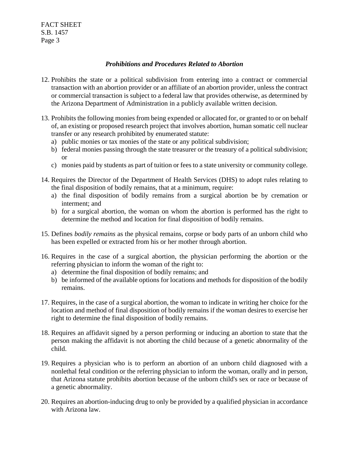#### *Prohibitions and Procedures Related to Abortion*

- 12. Prohibits the state or a political subdivision from entering into a contract or commercial transaction with an abortion provider or an affiliate of an abortion provider, unless the contract or commercial transaction is subject to a federal law that provides otherwise, as determined by the Arizona Department of Administration in a publicly available written decision.
- 13. Prohibits the following monies from being expended or allocated for, or granted to or on behalf of, an existing or proposed research project that involves abortion, human somatic cell nuclear transfer or any research prohibited by enumerated statute:
	- a) public monies or tax monies of the state or any political subdivision;
	- b) federal monies passing through the state treasurer or the treasury of a political subdivision; or
	- c) monies paid by students as part of tuition or fees to a state university or community college.
- 14. Requires the Director of the Department of Health Services (DHS) to adopt rules relating to the final disposition of bodily remains, that at a minimum, require:
	- a) the final disposition of bodily remains from a surgical abortion be by cremation or interment; and
	- b) for a surgical abortion, the woman on whom the abortion is performed has the right to determine the method and location for final disposition of bodily remains.
- 15. Defines *bodily remains* as the physical remains, corpse or body parts of an unborn child who has been expelled or extracted from his or her mother through abortion.
- 16. Requires in the case of a surgical abortion, the physician performing the abortion or the referring physician to inform the woman of the right to:
	- a) determine the final disposition of bodily remains; and
	- b) be informed of the available options for locations and methods for disposition of the bodily remains.
- 17. Requires, in the case of a surgical abortion, the woman to indicate in writing her choice for the location and method of final disposition of bodily remains if the woman desires to exercise her right to determine the final disposition of bodily remains.
- 18. Requires an affidavit signed by a person performing or inducing an abortion to state that the person making the affidavit is not aborting the child because of a genetic abnormality of the child.
- 19. Requires a physician who is to perform an abortion of an unborn child diagnosed with a nonlethal fetal condition or the referring physician to inform the woman, orally and in person, that Arizona statute prohibits abortion because of the unborn child's sex or race or because of a genetic abnormality.
- 20. Requires an abortion-inducing drug to only be provided by a qualified physician in accordance with Arizona law.